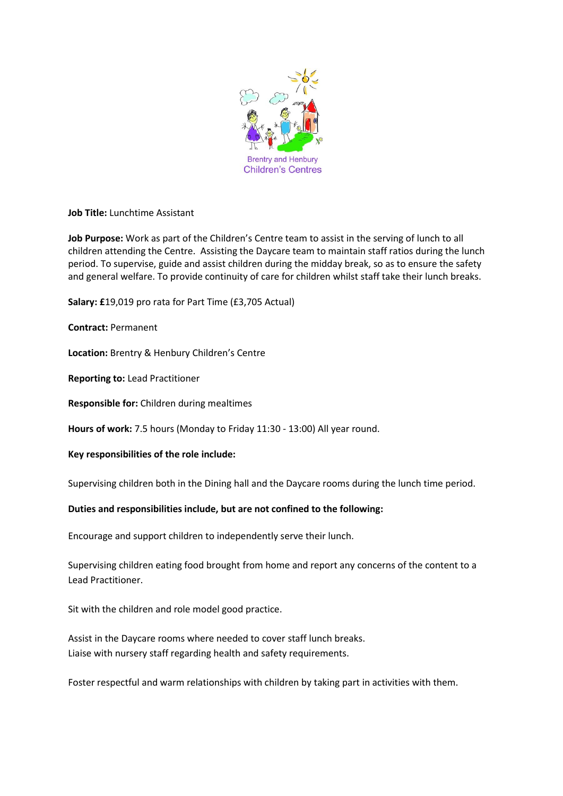

**Job Title:** Lunchtime Assistant

**Job Purpose:** Work as part of the Children's Centre team to assist in the serving of lunch to all children attending the Centre. Assisting the Daycare team to maintain staff ratios during the lunch period. To supervise, guide and assist children during the midday break, so as to ensure the safety and general welfare. To provide continuity of care for children whilst staff take their lunch breaks.

**Salary: £**19,019 pro rata for Part Time (£3,705 Actual)

**Contract:** Permanent

**Location:** Brentry & Henbury Children's Centre

**Reporting to:** Lead Practitioner

**Responsible for:** Children during mealtimes

**Hours of work:** 7.5 hours (Monday to Friday 11:30 - 13:00) All year round.

**Key responsibilities of the role include:**

Supervising children both in the Dining hall and the Daycare rooms during the lunch time period.

# **Duties and responsibilities include, but are not confined to the following:**

Encourage and support children to independently serve their lunch.

Supervising children eating food brought from home and report any concerns of the content to a Lead Practitioner.

Sit with the children and role model good practice.

Assist in the Daycare rooms where needed to cover staff lunch breaks. Liaise with nursery staff regarding health and safety requirements.

Foster respectful and warm relationships with children by taking part in activities with them.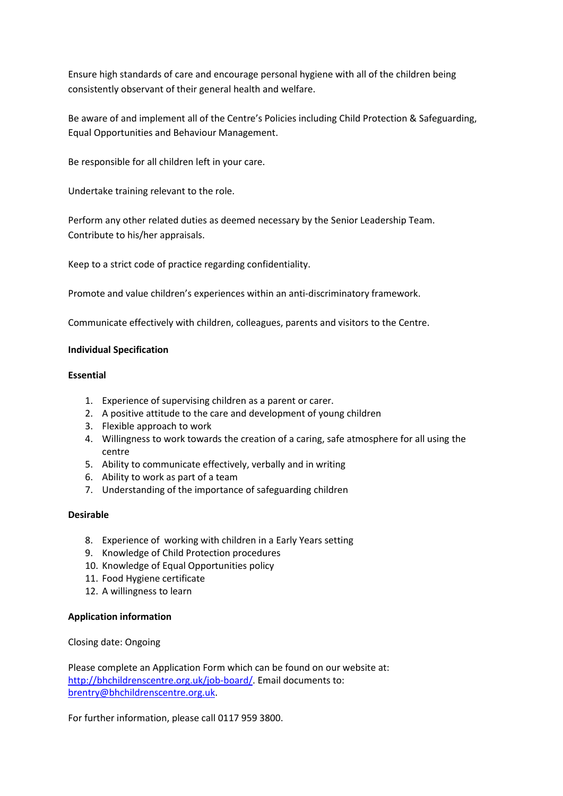Ensure high standards of care and encourage personal hygiene with all of the children being consistently observant of their general health and welfare.

Be aware of and implement all of the Centre's Policies including Child Protection & Safeguarding, Equal Opportunities and Behaviour Management.

Be responsible for all children left in your care.

Undertake training relevant to the role.

Perform any other related duties as deemed necessary by the Senior Leadership Team. Contribute to his/her appraisals.

Keep to a strict code of practice regarding confidentiality.

Promote and value children's experiences within an anti-discriminatory framework.

Communicate effectively with children, colleagues, parents and visitors to the Centre.

# **Individual Specification**

# **Essential**

- 1. Experience of supervising children as a parent or carer.
- 2. A positive attitude to the care and development of young children
- 3. Flexible approach to work
- 4. Willingness to work towards the creation of a caring, safe atmosphere for all using the centre
- 5. Ability to communicate effectively, verbally and in writing
- 6. Ability to work as part of a team
- 7. Understanding of the importance of safeguarding children

# **Desirable**

- 8. Experience of working with children in a Early Years setting
- 9. Knowledge of Child Protection procedures
- 10. Knowledge of Equal Opportunities policy
- 11. Food Hygiene certificate
- 12. A willingness to learn

# **Application information**

Closing date: Ongoing

Please complete an Application Form which can be found on our website at: [http://bhchildrenscentre.org.uk/job-board/.](http://bhchildrenscentre.org.uk/job-board/) Email documents to: [brentry@bhchildrenscentre.org.uk.](mailto:brentry@bhchildrenscentre.org.uk)

For further information, please call 0117 959 3800.